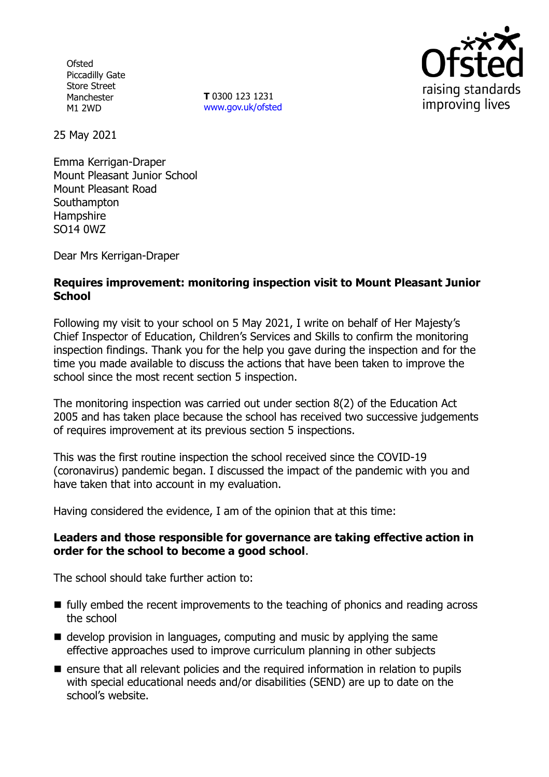**Ofsted** Piccadilly Gate Store Street Manchester M1 2WD

**T** 0300 123 1231 [www.gov.uk/ofsted](http://www.gov.uk/ofsted)



25 May 2021

Emma Kerrigan-Draper Mount Pleasant Junior School Mount Pleasant Road **Southampton Hampshire** SO14 0WZ

Dear Mrs Kerrigan-Draper

## **Requires improvement: monitoring inspection visit to Mount Pleasant Junior School**

Following my visit to your school on 5 May 2021, I write on behalf of Her Majesty's Chief Inspector of Education, Children's Services and Skills to confirm the monitoring inspection findings. Thank you for the help you gave during the inspection and for the time you made available to discuss the actions that have been taken to improve the school since the most recent section 5 inspection.

The monitoring inspection was carried out under section 8(2) of the Education Act 2005 and has taken place because the school has received two successive judgements of requires improvement at its previous section 5 inspections.

This was the first routine inspection the school received since the COVID-19 (coronavirus) pandemic began. I discussed the impact of the pandemic with you and have taken that into account in my evaluation.

Having considered the evidence, I am of the opinion that at this time:

### **Leaders and those responsible for governance are taking effective action in order for the school to become a good school**.

The school should take further action to:

- fully embed the recent improvements to the teaching of phonics and reading across the school
- $\blacksquare$  develop provision in languages, computing and music by applying the same effective approaches used to improve curriculum planning in other subjects
- ensure that all relevant policies and the required information in relation to pupils with special educational needs and/or disabilities (SEND) are up to date on the school's website.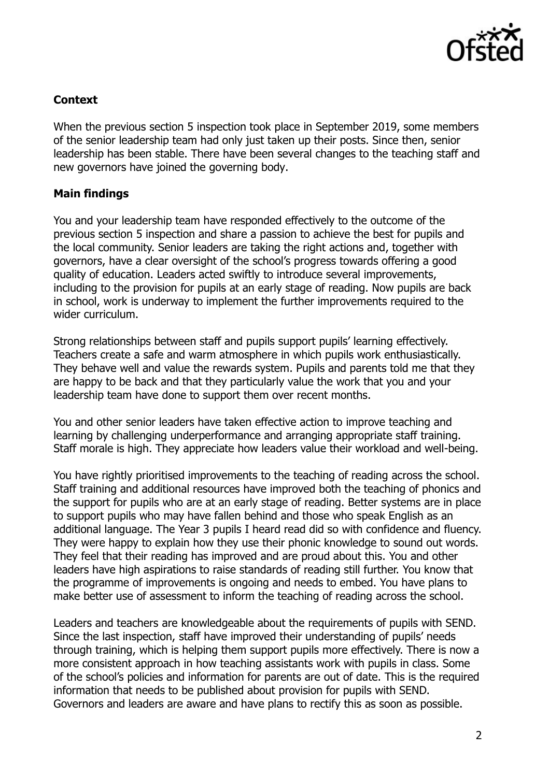

## **Context**

When the previous section 5 inspection took place in September 2019, some members of the senior leadership team had only just taken up their posts. Since then, senior leadership has been stable. There have been several changes to the teaching staff and new governors have joined the governing body.

# **Main findings**

You and your leadership team have responded effectively to the outcome of the previous section 5 inspection and share a passion to achieve the best for pupils and the local community. Senior leaders are taking the right actions and, together with governors, have a clear oversight of the school's progress towards offering a good quality of education. Leaders acted swiftly to introduce several improvements, including to the provision for pupils at an early stage of reading. Now pupils are back in school, work is underway to implement the further improvements required to the wider curriculum.

Strong relationships between staff and pupils support pupils' learning effectively. Teachers create a safe and warm atmosphere in which pupils work enthusiastically. They behave well and value the rewards system. Pupils and parents told me that they are happy to be back and that they particularly value the work that you and your leadership team have done to support them over recent months.

You and other senior leaders have taken effective action to improve teaching and learning by challenging underperformance and arranging appropriate staff training. Staff morale is high. They appreciate how leaders value their workload and well-being.

You have rightly prioritised improvements to the teaching of reading across the school. Staff training and additional resources have improved both the teaching of phonics and the support for pupils who are at an early stage of reading. Better systems are in place to support pupils who may have fallen behind and those who speak English as an additional language. The Year 3 pupils I heard read did so with confidence and fluency. They were happy to explain how they use their phonic knowledge to sound out words. They feel that their reading has improved and are proud about this. You and other leaders have high aspirations to raise standards of reading still further. You know that the programme of improvements is ongoing and needs to embed. You have plans to make better use of assessment to inform the teaching of reading across the school.

Leaders and teachers are knowledgeable about the requirements of pupils with SEND. Since the last inspection, staff have improved their understanding of pupils' needs through training, which is helping them support pupils more effectively. There is now a more consistent approach in how teaching assistants work with pupils in class. Some of the school's policies and information for parents are out of date. This is the required information that needs to be published about provision for pupils with SEND. Governors and leaders are aware and have plans to rectify this as soon as possible.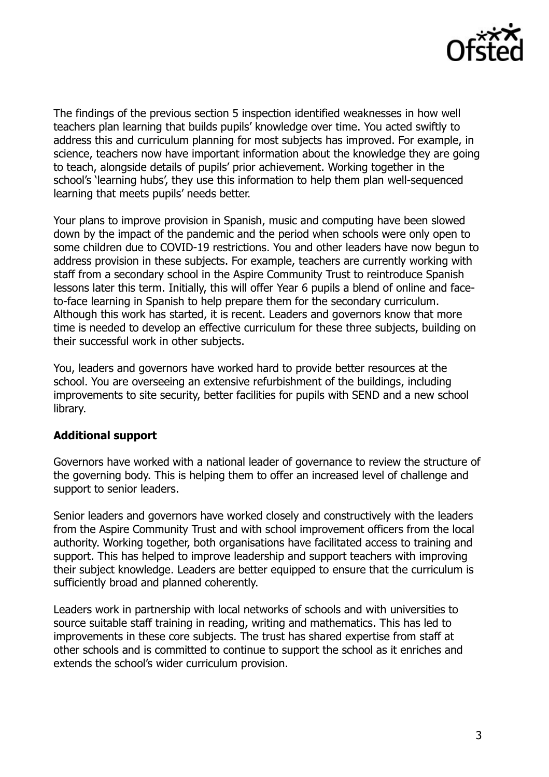

The findings of the previous section 5 inspection identified weaknesses in how well teachers plan learning that builds pupils' knowledge over time. You acted swiftly to address this and curriculum planning for most subjects has improved. For example, in science, teachers now have important information about the knowledge they are going to teach, alongside details of pupils' prior achievement. Working together in the school's 'learning hubs', they use this information to help them plan well-sequenced learning that meets pupils' needs better.

Your plans to improve provision in Spanish, music and computing have been slowed down by the impact of the pandemic and the period when schools were only open to some children due to COVID-19 restrictions. You and other leaders have now begun to address provision in these subjects. For example, teachers are currently working with staff from a secondary school in the Aspire Community Trust to reintroduce Spanish lessons later this term. Initially, this will offer Year 6 pupils a blend of online and faceto-face learning in Spanish to help prepare them for the secondary curriculum. Although this work has started, it is recent. Leaders and governors know that more time is needed to develop an effective curriculum for these three subjects, building on their successful work in other subjects.

You, leaders and governors have worked hard to provide better resources at the school. You are overseeing an extensive refurbishment of the buildings, including improvements to site security, better facilities for pupils with SEND and a new school library.

### **Additional support**

Governors have worked with a national leader of governance to review the structure of the governing body. This is helping them to offer an increased level of challenge and support to senior leaders.

Senior leaders and governors have worked closely and constructively with the leaders from the Aspire Community Trust and with school improvement officers from the local authority. Working together, both organisations have facilitated access to training and support. This has helped to improve leadership and support teachers with improving their subject knowledge. Leaders are better equipped to ensure that the curriculum is sufficiently broad and planned coherently.

Leaders work in partnership with local networks of schools and with universities to source suitable staff training in reading, writing and mathematics. This has led to improvements in these core subjects. The trust has shared expertise from staff at other schools and is committed to continue to support the school as it enriches and extends the school's wider curriculum provision.